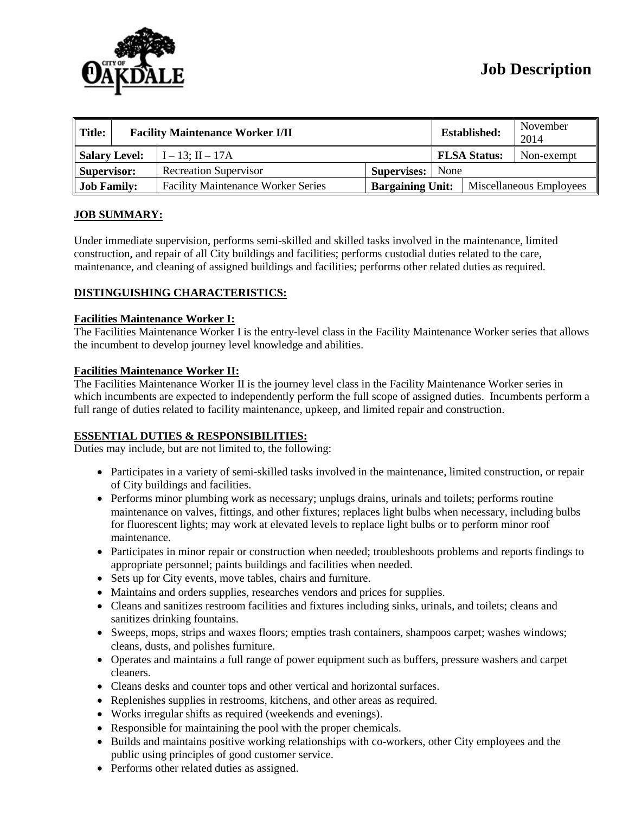

| $\parallel$ Title: | <b>Facility Maintenance Worker I/II</b> |                                           |                         |  | <b>Established:</b>     | November<br>2014 |
|--------------------|-----------------------------------------|-------------------------------------------|-------------------------|--|-------------------------|------------------|
| Salary Level:      |                                         | $I - 13$ ; II $- 17A$                     |                         |  | <b>FLSA Status:</b>     | Non-exempt       |
| Supervisor:        |                                         | <b>Recreation Supervisor</b>              | <b>Supervises:</b> None |  |                         |                  |
| <b>Job Family:</b> |                                         | <b>Facility Maintenance Worker Series</b> | <b>Bargaining Unit:</b> |  | Miscellaneous Employees |                  |

## **JOB SUMMARY:**

Under immediate supervision, performs semi-skilled and skilled tasks involved in the maintenance, limited construction, and repair of all City buildings and facilities; performs custodial duties related to the care, maintenance, and cleaning of assigned buildings and facilities; performs other related duties as required.

## **DISTINGUISHING CHARACTERISTICS:**

### **Facilities Maintenance Worker I:**

The Facilities Maintenance Worker I is the entry-level class in the Facility Maintenance Worker series that allows the incumbent to develop journey level knowledge and abilities.

### **Facilities Maintenance Worker II:**

The Facilities Maintenance Worker II is the journey level class in the Facility Maintenance Worker series in which incumbents are expected to independently perform the full scope of assigned duties. Incumbents perform a full range of duties related to facility maintenance, upkeep, and limited repair and construction.

## **ESSENTIAL DUTIES & RESPONSIBILITIES:**

Duties may include, but are not limited to, the following:

- Participates in a variety of semi-skilled tasks involved in the maintenance, limited construction, or repair of City buildings and facilities.
- Performs minor plumbing work as necessary; unplugs drains, urinals and toilets; performs routine maintenance on valves, fittings, and other fixtures; replaces light bulbs when necessary, including bulbs for fluorescent lights; may work at elevated levels to replace light bulbs or to perform minor roof maintenance.
- Participates in minor repair or construction when needed; troubleshoots problems and reports findings to appropriate personnel; paints buildings and facilities when needed.
- Sets up for City events, move tables, chairs and furniture.
- Maintains and orders supplies, researches vendors and prices for supplies.
- Cleans and sanitizes restroom facilities and fixtures including sinks, urinals, and toilets; cleans and sanitizes drinking fountains.
- Sweeps, mops, strips and waxes floors; empties trash containers, shampoos carpet; washes windows; cleans, dusts, and polishes furniture.
- Operates and maintains a full range of power equipment such as buffers, pressure washers and carpet cleaners.
- Cleans desks and counter tops and other vertical and horizontal surfaces.
- Replenishes supplies in restrooms, kitchens, and other areas as required.
- Works irregular shifts as required (weekends and evenings).
- Responsible for maintaining the pool with the proper chemicals.
- Builds and maintains positive working relationships with co-workers, other City employees and the public using principles of good customer service.
- Performs other related duties as assigned.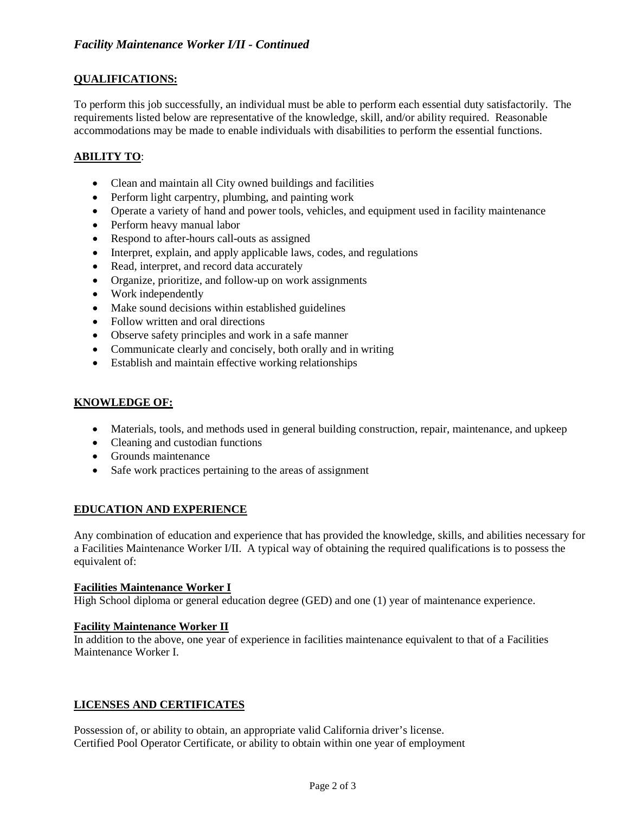## **QUALIFICATIONS:**

To perform this job successfully, an individual must be able to perform each essential duty satisfactorily. The requirements listed below are representative of the knowledge, skill, and/or ability required. Reasonable accommodations may be made to enable individuals with disabilities to perform the essential functions.

## **ABILITY TO**:

- Clean and maintain all City owned buildings and facilities
- Perform light carpentry, plumbing, and painting work
- Operate a variety of hand and power tools, vehicles, and equipment used in facility maintenance
- Perform heavy manual labor
- Respond to after-hours call-outs as assigned
- Interpret, explain, and apply applicable laws, codes, and regulations
- Read, interpret, and record data accurately
- Organize, prioritize, and follow-up on work assignments
- Work independently
- Make sound decisions within established guidelines
- Follow written and oral directions
- Observe safety principles and work in a safe manner
- Communicate clearly and concisely, both orally and in writing
- Establish and maintain effective working relationships

### **KNOWLEDGE OF:**

- Materials, tools, and methods used in general building construction, repair, maintenance, and upkeep
- Cleaning and custodian functions
- Grounds maintenance
- Safe work practices pertaining to the areas of assignment

### **EDUCATION AND EXPERIENCE**

Any combination of education and experience that has provided the knowledge, skills, and abilities necessary for a Facilities Maintenance Worker I/II. A typical way of obtaining the required qualifications is to possess the equivalent of:

### **Facilities Maintenance Worker I**

High School diploma or general education degree (GED) and one (1) year of maintenance experience.

### **Facility Maintenance Worker II**

In addition to the above, one year of experience in facilities maintenance equivalent to that of a Facilities Maintenance Worker I.

### **LICENSES AND CERTIFICATES**

Possession of, or ability to obtain, an appropriate valid California driver's license. Certified Pool Operator Certificate, or ability to obtain within one year of employment